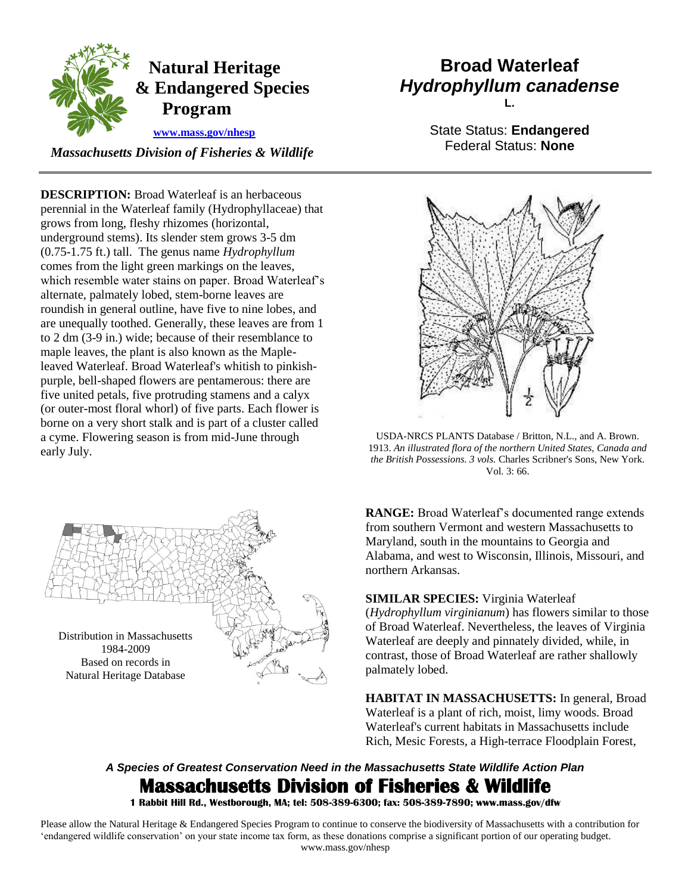

## **Natural Heritage & Endangered Species Program**

 **[www.mass.gov/nhesp](http://www.mass.gov/eea/agencies/dfg/dfw/natural-heritage/)** 

*Massachusetts Division of Fisheries & Wildlife* 

 perennial in the Waterleaf family (Hydrophyllaceae) that are unequally toothed. Generally, these leaves are from 1 **DESCRIPTION:** Broad Waterleaf is an herbaceous grows from long, fleshy rhizomes (horizontal, underground stems). Its slender stem grows 3-5 dm (0.75-1.75 ft.) tall. The genus name *Hydrophyllum*  comes from the light green markings on the leaves, which resemble water stains on paper. Broad Waterleaf's alternate, palmately lobed, stem-borne leaves are roundish in general outline, have five to nine lobes, and to 2 dm (3-9 in.) wide; because of their resemblance to maple leaves, the plant is also known as the Mapleleaved Waterleaf. Broad Waterleaf's whitish to pinkishpurple, bell-shaped flowers are pentamerous: there are five united petals, five protruding stamens and a calyx (or outer-most floral whorl) of five parts. Each flower is borne on a very short stalk and is part of a cluster called a cyme. Flowering season is from mid-June through early July.



## **Broad Waterleaf**  *Hydrophyllum canadense*  **L.**

State Status: **Endangered**  Federal Status: **None** 



 USDA-NRCS PLANTS Database / Britton, N.L., and A. Brown.  1913. *An illustrated flora of the northern United States, Canada and the British Possessions. 3 vols.* Charles Scribner's Sons, New York. Vol. 3: 66.

**RANGE:** Broad Waterleaf's documented range extends from southern Vermont and western Massachusetts to Maryland, south in the mountains to Georgia and Alabama, and west to Wisconsin, Illinois, Missouri, and northern Arkansas.

**SIMILAR SPECIES:** Virginia Waterleaf (*Hydrophyllum virginianum*) has flowers similar to those of Broad Waterleaf. Nevertheless, the leaves of Virginia Waterleaf are deeply and pinnately divided, while, in contrast, those of Broad Waterleaf are rather shallowly palmately lobed.

**HABITAT IN MASSACHUSETTS:** In general, Broad Waterleaf is a plant of rich, moist, limy woods. Broad Waterleaf's current habitats in Massachusetts include Rich, Mesic Forests, a High-terrace Floodplain Forest,

## *A Species of Greatest Conservation Need in the Massachusetts State Wildlife Action Plan*  **Massachusetts Division of Fisheries & Wildlife**

 **1 Rabbit Hill Rd., Westborough, MA; tel: 508-389-6300; fax: 508-389-7890; www.mass.gov/dfw** 

 Please allow the Natural Heritage & Endangered Species Program to continue to conserve the biodiversity of Massachusetts with a contribution for 'endangered wildlife conservation' on your state income tax form, as these donations comprise a significant portion of our operating budget. www.mass.gov/nhesp